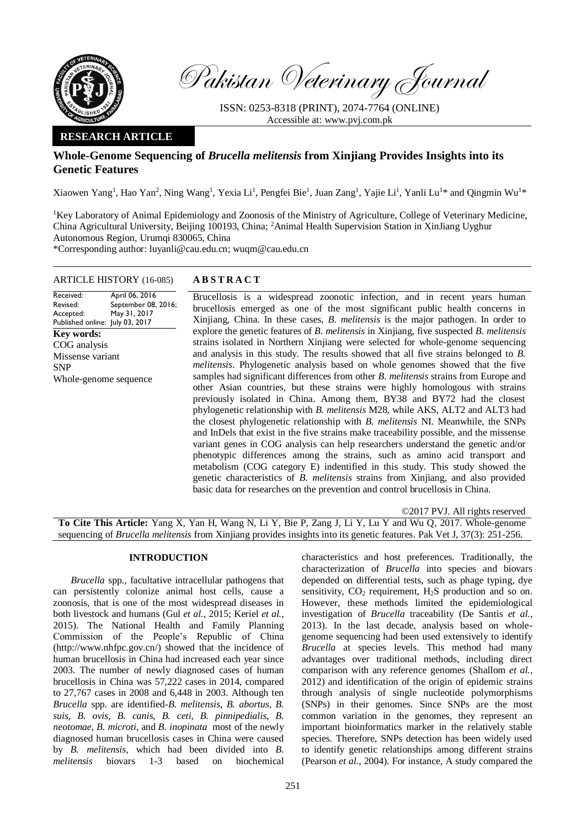

Pakistan Veterinary Journal

ISSN: 0253-8318 (PRINT), 2074-7764 (ONLINE) Accessible at: [www.pvj.com.pk](http://www.pvj.com.pk/)

## **RESEARCH ARTICLE**

## **Whole-Genome Sequencing of** *Brucella melitensis* **from Xinjiang Provides Insights into its Genetic Features**

Xiaowen Yang<sup>1</sup>, Hao Yan<sup>2</sup>, Ning Wang<sup>1</sup>, Yexia Li<sup>1</sup>, Pengfei Bie<sup>1</sup>, Juan Zang<sup>1</sup>, Yajie Li<sup>1</sup>, Yanli Lu<sup>1\*</sup> and Qingmin Wu<sup>1\*</sup>

<sup>1</sup>Key Laboratory of Animal Epidemiology and Zoonosis of the Ministry of Agriculture, College of Veterinary Medicine, China Agricultural University, Beijing 100193, China; <sup>2</sup>Animal Health Supervision Station in XinJiang Uyghur Autonomous Region, Urumqi 830065, China

\*Corresponding author: luyanli@cau.edu.cn; wuqm@cau.edu.cn

# ARTICLE HISTORY (16-085) **A B S T R A C T**

#### Received: Revised: Accepted: Published online: July 03, 2017 April 06, 2016 September 08, 2016; May 31, 2017 **Key words:**  COG analysis Missense variant SNP Whole-genome sequence

Brucellosis is a widespread zoonotic infection, and in recent years human brucellosis emerged as one of the most significant public health concerns in Xinjiang, China. In these cases, *B. melitensis* is the major pathogen. In order to explore the genetic features of *B. melitensis* in Xinjiang, five suspected *B. melitensis* strains isolated in Northern Xinjiang were selected for whole-genome sequencing and analysis in this study. The results showed that all five strains belonged to *B. melitensis*. Phylogenetic analysis based on whole genomes showed that the five samples had significant differences from other *B. melitensis* strains from Europe and other Asian countries, but these strains were highly homologous with strains previously isolated in China. Among them, BY38 and BY72 had the closest phylogenetic relationship with *B. melitensis* M28, while AKS, ALT2 and ALT3 had the closest phylogenetic relationship with *B. melitensis* NI. Meanwhile, the SNPs and InDels that exist in the five strains make traceability possible, and the missense variant genes in COG analysis can help researchers understand the genetic and/or phenotypic differences among the strains, such as amino acid transport and metabolism (COG category E) indentified in this study. This study showed the genetic characteristics of *B. melitensis* strains from Xinjiang, and also provided basic data for researches on the prevention and control brucellosis in China.

©2017 PVJ. All rights reserved **To Cite This Article:** Yang X, Yan H, Wang N, Li Y, Bie P, Zang J, Li Y, Lu Y and Wu Q, 2017. Whole-genome sequencing of *Brucella melitensis* from Xinjiang provides insights into its genetic features. Pak Vet J, 37(3): 251-256.

## **INTRODUCTION**

*Brucella* spp., facultative intracellular pathogens that can persistently colonize animal host cells, cause a zoonosis, that is one of the most widespread diseases in both livestock and humans (Gul *et al.*, 2015; Keriel *et al.*, 2015). The National Health and Family Planning Commission of the People's Republic of China (http://www.nhfpc.gov.cn/) showed that the incidence of human brucellosis in China had increased each year since 2003. The number of newly diagnosed cases of human brucellosis in China was 57,222 cases in 2014, compared to 27,767 cases in 2008 and 6,448 in 2003. Although ten *Brucella* spp. are identified-*B. melitensis*, *B. abortus*, *B. suis*, *B. ovis*, *B. canis*, *B. ceti*, *B. pinnipedialis*, *B. neotomae*, *B. microti*, and *B. inopinata* most of the newly diagnosed human brucellosis cases in China were caused by *B. melitensis,* which had been divided into *B. melitensis* biovars 1-3 based on biochemical

characteristics and host preferences. Traditionally, the characterization of *Brucella* into species and biovars depended on differential tests, such as phage typing, dye sensitivity,  $CO<sub>2</sub>$  requirement,  $H<sub>2</sub>S$  production and so on. However, these methods limited the epidemiological investigation of *Brucella* traceability (De Santis *et al.*, 2013). In the last decade, analysis based on wholegenome sequencing had been used extensively to identify *Brucella* at species levels. This method had many advantages over traditional methods, including direct comparison with any reference genomes (Shallom *et al.*, 2012) and identification of the origin of epidemic strains through analysis of single nucleotide polymorphisms (SNPs) in their genomes. Since SNPs are the most common variation in the genomes, they represent an important bioinformatics marker in the relatively stable species. Therefore, SNPs detection has been widely used to identify genetic relationships among different strains (Pearson *et al.*, 2004). For instance, A study compared the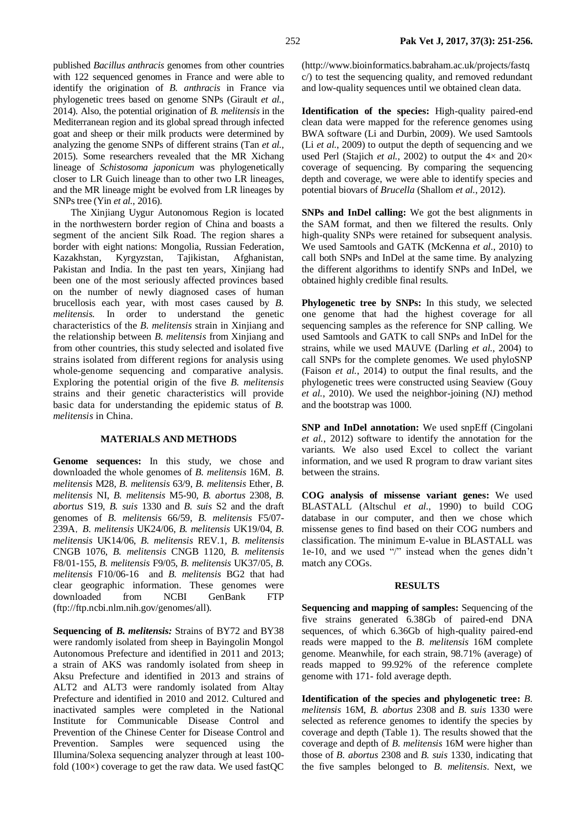published *Bacillus anthracis* genomes from other countries with 122 sequenced genomes in France and were able to identify the origination of *B. anthracis* in France via phylogenetic trees based on genome SNPs (Girault *et al.*, 2014). Also, the potential origination of *B. melitensis* in the Mediterranean region and its global spread through infected goat and sheep or their milk products were determined by analyzing the genome SNPs of different strains (Tan *et al.*, 2015). Some researchers revealed that the MR Xichang lineage of *Schistosoma japonicum* was phylogenetically closer to LR Guich lineage than to other two LR lineages, and the MR lineage might be evolved from LR lineages by SNPs tree (Yin *et al.*, 2016).

The Xinjiang Uygur Autonomous Region is located in the northwestern border region of China and boasts a segment of the ancient Silk Road. The region shares a border with eight nations: Mongolia, Russian Federation, Kazakhstan, Kyrgyzstan, Tajikistan, Afghanistan, Pakistan and India. In the past ten years, Xinjiang had been one of the most seriously affected provinces based on the number of newly diagnosed cases of human brucellosis each year, with most cases caused by *B. melitensis.* In order to understand the genetic characteristics of the *B. melitensis* strain in Xinjiang and the relationship between *B. melitensis* from Xinjiang and from other countries, this study selected and isolated five strains isolated from different regions for analysis using whole-genome sequencing and comparative analysis. Exploring the potential origin of the five *B. melitensis*  strains and their genetic characteristics will provide basic data for understanding the epidemic status of *B. melitensis* in China.

## **MATERIALS AND METHODS**

**Genome sequences:** In this study, we chose and downloaded the whole genomes of *B. melitensis* 16M,*B. melitensis* M28, *B. melitensis* 63/9, *B. melitensis* Ether, *B. melitensis* NI, *B. melitensis* M5-90, *B. abortus* 2308, *B. abortus* S19, *B. suis* 1330 and *B. suis* S2 and the draft genomes of *B. melitensis* 66/59, *B. melitensis* F5/07- 239A,*B. melitensis* UK24/06, *B. melitensis* UK19/04, *B. melitensis* UK14/06, *B. melitensis* REV.1, *B. melitensis*  CNGB 1076, *B. melitensis* CNGB 1120, *B. melitensis*  F8/01-155, *B. melitensis* F9/05, *B. melitensis* UK37/05, *B. melitensis* F10/06-16 and *B. melitensis* BG2 that had clear geographic information. These genomes were downloaded from NCBI GenBank FTP (ftp://ftp.ncbi.nlm.nih.gov/genomes/all).

**Sequencing of** *B. melitensis:* Strains of BY72 and BY38 were randomly isolated from sheep in Bayingolin Mongol Autonomous Prefecture and identified in 2011 and 2013; a strain of AKS was randomly isolated from sheep in Aksu Prefecture and identified in 2013 and strains of ALT2 and ALT3 were randomly isolated from Altay Prefecture and identified in 2010 and 2012. Cultured and inactivated samples were completed in the National Institute for Communicable Disease Control and Prevention of the Chinese Center for Disease Control and Prevention. Samples were sequenced using the Illumina/Solexa sequencing analyzer through at least 100 fold (100×) coverage to get the raw data. We used fastQC

(http://www.bioinformatics.babraham.ac.uk/projects/fastq c/) to test the sequencing quality, and removed redundant and low-quality sequences until we obtained clean data.

**Identification of the species:** High-quality paired-end clean data were mapped for the reference genomes using BWA software (Li and Durbin, 2009). We used Samtools (Li *et al.*, 2009) to output the depth of sequencing and we used Perl (Stajich *et al.*, 2002) to output the  $4 \times$  and  $20 \times$ coverage of sequencing. By comparing the sequencing depth and coverage, we were able to identify species and potential biovars of *Brucella* (Shallom *et al.*, 2012).

**SNPs and InDel calling:** We got the best alignments in the SAM format, and then we filtered the results. Only high-quality SNPs were retained for subsequent analysis. We used Samtools and GATK (McKenna *et al.*, 2010) to call both SNPs and InDel at the same time. By analyzing the different algorithms to identify SNPs and InDel, we obtained highly credible final results.

**Phylogenetic tree by SNPs:** In this study, we selected one genome that had the highest coverage for all sequencing samples as the reference for SNP calling. We used Samtools and GATK to call SNPs and InDel for the strains, while we used MAUVE (Darling *et al.*, 2004) to call SNPs for the complete genomes. We used phyloSNP (Faison *et al.*, 2014) to output the final results, and the phylogenetic trees were constructed using Seaview (Gouy *et al.*, 2010). We used the neighbor-joining (NJ) method and the bootstrap was 1000.

**SNP and InDel annotation:** We used snpEff (Cingolani *et al.*, 2012) software to identify the annotation for the variants. We also used Excel to collect the variant information, and we used R program to draw variant sites between the strains.

**COG analysis of missense variant genes:** We used BLASTALL (Altschul *et al.*, 1990) to build COG database in our computer, and then we chose which missense genes to find based on their COG numbers and classification. The minimum E-value in BLASTALL was 1e-10, and we used "/" instead when the genes didn't match any COGs.

#### **RESULTS**

**Sequencing and mapping of samples:** Sequencing of the five strains generated 6.38Gb of paired-end DNA sequences, of which 6.36Gb of high-quality paired-end reads were mapped to the *B. melitensis* 16M complete genome. Meanwhile, for each strain, 98.71% (average) of reads mapped to 99.92% of the reference complete genome with 171- fold average depth.

**Identification of the species and phylogenetic tree:** *B. melitensis* 16M, *B. abortus* 2308 and *B. suis* 1330 were selected as reference genomes to identify the species by coverage and depth (Table 1). The results showed that the coverage and depth of *B. melitensis* 16M were higher than those of *B. abortus* 2308 and *B. suis* 1330, indicating that the five samples belonged to *B. melitensis*. Next, we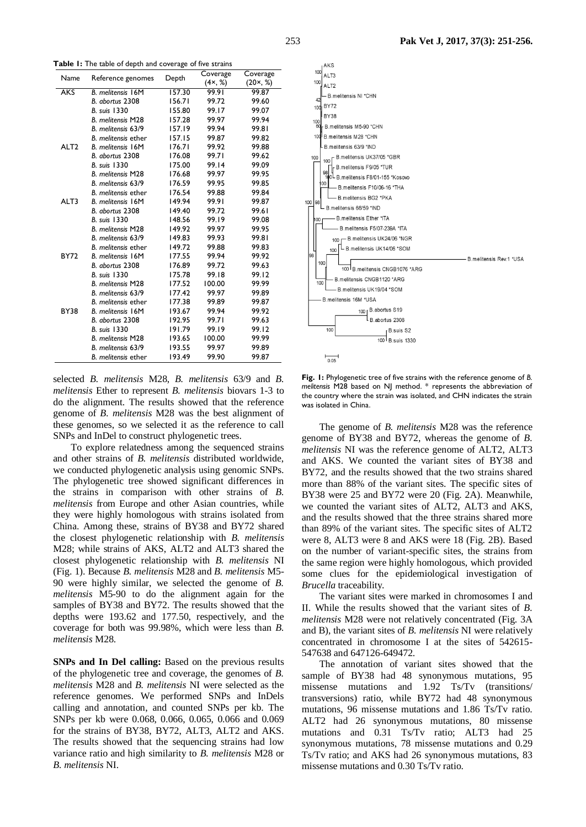| Name             | Reference genomes          | Depth  | Coverage | Coverage         |
|------------------|----------------------------|--------|----------|------------------|
|                  |                            |        | (4x, %)  | $(20 \times, %)$ |
| <b>AKS</b>       | <b>B.</b> melitensis 16M   | 157.30 | 99.91    | 99.87            |
|                  | B. abortus 2308            | 156.71 | 99.72    | 99.60            |
|                  | <b>B.</b> suis 1330        | 155.80 | 99.17    | 99.07            |
|                  | <b>B.</b> melitensis M28   | 157.28 | 99.97    | 99.94            |
|                  | B. melitensis 63/9         | 157.19 | 99.94    | 99.81            |
|                  | B. melitensis ether        | 157.15 | 99.87    | 99.82            |
| ALT <sub>2</sub> | <b>B.</b> melitensis 16M   | 176.71 | 99.92    | 99.88            |
|                  | B. abortus 2308            | 176.08 | 99.71    | 99.62            |
|                  | <b>B.</b> suis 1330        | 175.00 | 99.14    | 99.09            |
|                  | <b>B.</b> melitensis M28   | 176.68 | 99.97    | 99.95            |
|                  | B. melitensis 63/9         | 176.59 | 99.95    | 99.85            |
|                  | B. melitensis ether        | 176.54 | 99.88    | 99.84            |
| ALT3             | <b>B.</b> melitensis 16M   | 149.94 | 99.91    | 99.87            |
|                  | B. abortus 2308            | 149.40 | 99.72    | 99.61            |
|                  | <b>B.</b> suis 1330        | 148.56 | 99.19    | 99.08            |
|                  | <b>B.</b> melitensis M28   | 149.92 | 99.97    | 99.95            |
|                  | B. melitensis 63/9         | 149.83 | 99.93    | 99.81            |
|                  | <b>B.</b> melitensis ether | 149.72 | 99.88    | 99.83            |
| <b>BY72</b>      | <b>B.</b> melitensis 16M   | 177.55 | 99.94    | 99.92            |
|                  | B. abortus 2308            | 176.89 | 99.72    | 99.63            |
|                  | <b>B.</b> suis 1330        | 175.78 | 99.18    | 99.12            |
|                  | <b>B.</b> melitensis M28   | 177.52 | 100.00   | 99.99            |
|                  | B. melitensis 63/9         | 177.42 | 99.97    | 99.89            |
|                  | B. melitensis ether        | 177.38 | 99.89    | 99.87            |
| <b>BY38</b>      | <b>B.</b> melitensis 16M   | 193.67 | 99.94    | 99.92            |
|                  | B. abortus 2308            | 192.95 | 99.71    | 99.63            |
|                  | B. suis 1330               | 191.79 | 99.19    | 99.12            |
|                  | <b>B.</b> melitensis M28   | 193.65 | 100.00   | 99.99            |
|                  | B. melitensis 63/9         | 193.55 | 99.97    | 99.89            |
|                  | <b>B.</b> melitensis ether | 193.49 | 99.90    | 99.87            |

selected *B. melitensis* M28, *B. melitensis* 63/9 and *B. melitensis* Ether to represent *B. melitensis* biovars 1-3 to do the alignment. The results showed that the reference genome of *B. melitensis* M28 was the best alignment of these genomes, so we selected it as the reference to call SNPs and InDel to construct phylogenetic trees.

To explore relatedness among the sequenced strains and other strains of *B. melitensis* distributed worldwide, we conducted phylogenetic analysis using genomic SNPs. The phylogenetic tree showed significant differences in the strains in comparison with other strains of *B. melitensis* from Europe and other Asian countries, while they were highly homologous with strains isolated from China. Among these, strains of BY38 and BY72 shared the closest phylogenetic relationship with *B. melitensis* M28; while strains of AKS, ALT2 and ALT3 shared the closest phylogenetic relationship with *B. melitensis* NI (Fig. 1). Because *B. melitensis* M28 and *B. melitensis* M5- 90 were highly similar, we selected the genome of *B. melitensis* M5-90 to do the alignment again for the samples of BY38 and BY72. The results showed that the depths were 193.62 and 177.50, respectively, and the coverage for both was 99.98%, which were less than *B. melitensis* M28.

**SNPs and In Del calling:** Based on the previous results of the phylogenetic tree and coverage, the genomes of *B. melitensis* M28 and *B. melitensis* NI were selected as the reference genomes. We performed SNPs and InDels calling and annotation, and counted SNPs per kb. The SNPs per kb were 0.068, 0.066, 0.065, 0.066 and 0.069 for the strains of BY38, BY72, ALT3, ALT2 and AKS. The results showed that the sequencing strains had low variance ratio and high similarity to *B. melitensis* M28 or *B. melitensis* NI.



**Fig. 1:** Phylogenetic tree of five strains with the reference genome of *B. melitensis* M28 based on NJ method. \* represents the abbreviation of the country where the strain was isolated, and CHN indicates the strain was isolated in China.

The genome of *B. melitensis* M28 was the reference genome of BY38 and BY72, whereas the genome of *B. melitensis* NI was the reference genome of ALT2, ALT3 and AKS. We counted the variant sites of BY38 and BY72, and the results showed that the two strains shared more than 88% of the variant sites. The specific sites of BY38 were 25 and BY72 were 20 (Fig. 2A). Meanwhile, we counted the variant sites of ALT2, ALT3 and AKS, and the results showed that the three strains shared more than 89% of the variant sites. The specific sites of ALT2 were 8, ALT3 were 8 and AKS were 18 (Fig. 2B). Based on the number of variant-specific sites, the strains from the same region were highly homologous, which provided some clues for the epidemiological investigation of *Brucella* traceability.

The variant sites were marked in chromosomes I and II. While the results showed that the variant sites of *B. melitensis* M28 were not relatively concentrated (Fig. 3A and B), the variant sites of *B. melitensis* NI were relatively concentrated in chromosome I at the sites of 542615- 547638 and 647126-649472.

The annotation of variant sites showed that the sample of BY38 had 48 synonymous mutations, 95 missense mutations and 1.92 Ts/Tv (transitions/ transversions) ratio, while BY72 had 48 synonymous mutations, 96 missense mutations and 1.86 Ts/Tv ratio. ALT2 had 26 synonymous mutations, 80 missense mutations and 0.31 Ts/Tv ratio; ALT3 had 25 synonymous mutations, 78 missense mutations and 0.29 Ts/Tv ratio; and AKS had 26 synonymous mutations, 83 missense mutations and 0.30 Ts/Tv ratio.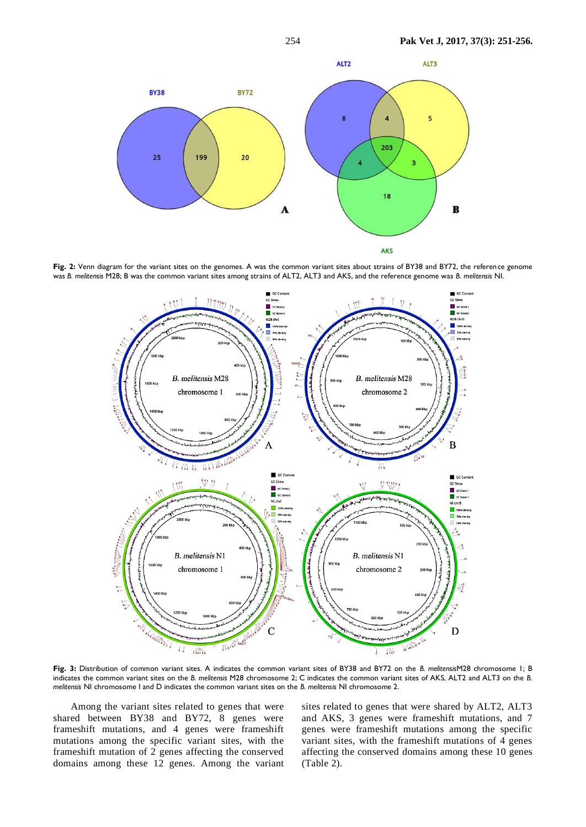

Fig. 2: Venn diagram for the variant sites on the genomes. A was the common variant sites about strains of BY38 and BY72, the reference genome was *B. melitensis* M28; B was the common variant sites among strains of ALT2, ALT3 and AKS, and the reference genome was *B. melitensis* NI.



**Fig. 3:** Distribution of common variant sites. A indicates the common variant sites of BY38 and BY72 on the *B. melitensis*M28 chromosome 1; B indicates the common variant sites on the *B. melitensis* M28 chromosome 2; C indicates the common variant sites of AKS, ALT2 and ALT3 on the *B. melitensis* NI chromosome I and D indicates the common variant sites on the *B. melitensis* NI chromosome 2.

Among the variant sites related to genes that were shared between BY38 and BY72, 8 genes were frameshift mutations, and 4 genes were frameshift mutations among the specific variant sites, with the frameshift mutation of 2 genes affecting the conserved domains among these 12 genes. Among the variant sites related to genes that were shared by ALT2, ALT3 and AKS, 3 genes were frameshift mutations, and 7 genes were frameshift mutations among the specific variant sites, with the frameshift mutations of 4 genes affecting the conserved domains among these 10 genes (Table 2).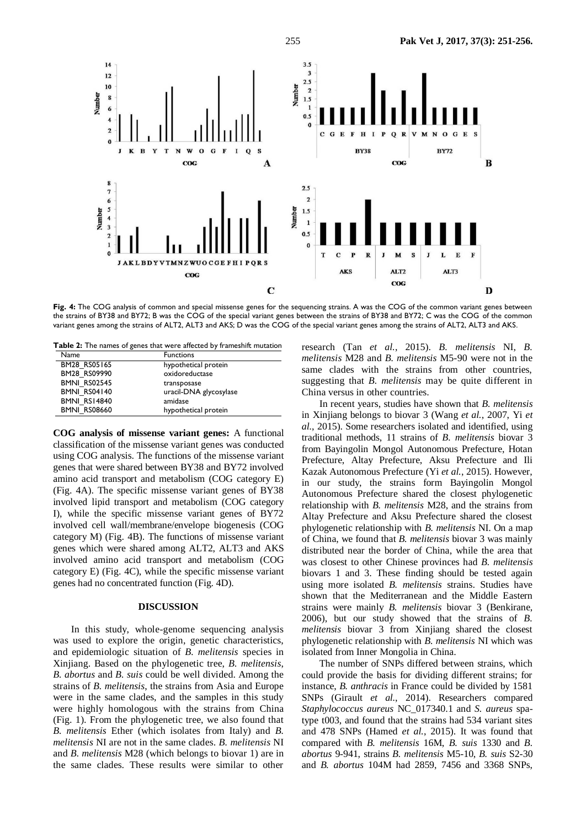

**Fig. 4:** The COG analysis of common and special missense genes for the sequencing strains. A was the COG of the common variant genes between the strains of BY38 and BY72; B was the COG of the special variant genes between the strains of BY38 and BY72; C was the COG of the common variant genes among the strains of ALT2, ALT3 and AKS; D was the COG of the special variant genes among the strains of ALT2, ALT3 and AKS.

**Table 2:** The names of genes that were affected by frameshift mutation

| Name                | <b>Functions</b>       |
|---------------------|------------------------|
| BM28 RS05165        | hypothetical protein   |
| BM28 RS09990        | oxidoreductase         |
| <b>BMNI RS02545</b> | transposase            |
| <b>BMNI RS04140</b> | uracil-DNA glycosylase |
| BMNI RS14840        | amidase                |
| <b>BMNI RS08660</b> | hypothetical protein   |

**COG analysis of missense variant genes:** A functional classification of the missense variant genes was conducted using COG analysis. The functions of the missense variant genes that were shared between BY38 and BY72 involved amino acid transport and metabolism (COG category E) (Fig. 4A). The specific missense variant genes of BY38 involved lipid transport and metabolism (COG category I), while the specific missense variant genes of BY72 involved cell wall/membrane/envelope biogenesis (COG category M) (Fig. 4B). The functions of missense variant genes which were shared among ALT2, ALT3 and AKS involved amino acid transport and metabolism (COG category E) (Fig. 4C), while the specific missense variant genes had no concentrated function (Fig. 4D).

## **DISCUSSION**

In this study, whole-genome sequencing analysis was used to explore the origin, genetic characteristics, and epidemiologic situation of *B. melitensis* species in Xinjiang. Based on the phylogenetic tree, *B. melitensis*, *B. abortus* and *B. suis* could be well divided. Among the strains of *B. melitensis*, the strains from Asia and Europe were in the same clades, and the samples in this study were highly homologous with the strains from China (Fig. 1). From the phylogenetic tree, we also found that *B. melitensis* Ether (which isolates from Italy) and *B. melitensis* NI are not in the same clades. *B. melitensis* NI and *B. melitensis* M28 (which belongs to biovar 1) are in the same clades. These results were similar to other

research (Tan *et al.*, 2015). *B. melitensis* NI, *B. melitensis* M28 and *B. melitensis* M5-90 were not in the same clades with the strains from other countries, suggesting that *B. melitensis* may be quite different in China versus in other countries.

In recent years, studies have shown that *B. melitensis* in Xinjiang belongs to biovar 3 (Wang *et al.*, 2007, Yi *et al.*, 2015). Some researchers isolated and identified, using traditional methods, 11 strains of *B. melitensis* biovar 3 from Bayingolin Mongol Autonomous Prefecture, Hotan Prefecture, Altay Prefecture, Aksu Prefecture and Ili Kazak Autonomous Prefecture (Yi *et al.*, 2015). However, in our study, the strains form Bayingolin Mongol Autonomous Prefecture shared the closest phylogenetic relationship with *B. melitensis* M28, and the strains from Altay Prefecture and Aksu Prefecture shared the closest phylogenetic relationship with *B. melitensis* NI. On a map of China, we found that *B. melitensis* biovar 3 was mainly distributed near the border of China, while the area that was closest to other Chinese provinces had *B. melitensis*  biovars 1 and 3. These finding should be tested again using more isolated *B. melitensis* strains. Studies have shown that the Mediterranean and the Middle Eastern strains were mainly *B. melitensis* biovar 3 (Benkirane, 2006), but our study showed that the strains of *B. melitensis* biovar 3 from Xinjiang shared the closest phylogenetic relationship with *B. melitensis* NI which was isolated from Inner Mongolia in China.

The number of SNPs differed between strains, which could provide the basis for dividing different strains; for instance, *B. anthracis* in France could be divided by 1581 SNPs (Girault *et al.*, 2014). Researchers compared *Staphylococcus aureus* NC\_017340.1 and *S. aureus* spatype t003, and found that the strains had 534 variant sites and 478 SNPs (Hamed *et al.*, 2015). It was found that compared with *B. melitensis* 16M, *B. suis* 1330 and *B. abortus* 9-941, strains *B. melitensis* M5-10, *B. suis* S2-30 and *B. abortus* 104M had 2859, 7456 and 3368 SNPs,